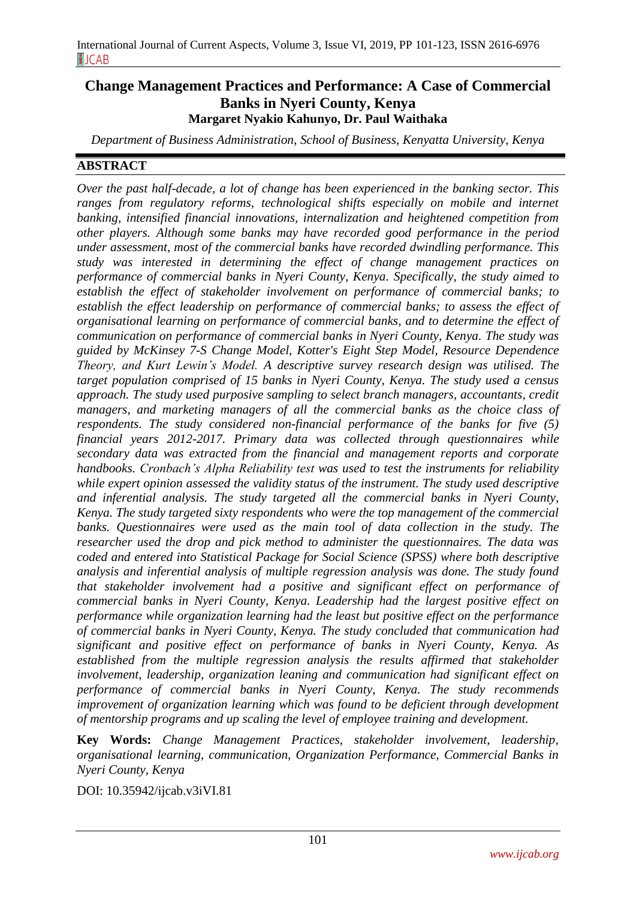# **Change Management Practices and Performance: A Case of Commercial Banks in Nyeri County, Kenya Margaret Nyakio Kahunyo, Dr. Paul Waithaka**

*Department of Business Administration, School of Business, Kenyatta University, Kenya*

### **ABSTRACT**

*Over the past half-decade, a lot of change has been experienced in the banking sector. This ranges from regulatory reforms, technological shifts especially on mobile and internet banking, intensified financial innovations, internalization and heightened competition from other players. Although some banks may have recorded good performance in the period under assessment, most of the commercial banks have recorded dwindling performance. This study was interested in determining the effect of change management practices on performance of commercial banks in Nyeri County, Kenya. Specifically, the study aimed to establish the effect of stakeholder involvement on performance of commercial banks; to establish the effect leadership on performance of commercial banks; to assess the effect of organisational learning on performance of commercial banks, and to determine the effect of communication on performance of commercial banks in Nyeri County, Kenya. The study was guided by McKinsey 7-S Change Model, Kotter's Eight Step Model, Resource Dependence Theory, and Kurt Lewin's Model. A descriptive survey research design was utilised. The target population comprised of 15 banks in Nyeri County, Kenya. The study used a census approach. The study used purposive sampling to select branch managers, accountants, credit managers, and marketing managers of all the commercial banks as the choice class of respondents. The study considered non-financial performance of the banks for five (5) financial years 2012-2017. Primary data was collected through questionnaires while secondary data was extracted from the financial and management reports and corporate handbooks. Cronbach's Alpha Reliability test was used to test the instruments for reliability while expert opinion assessed the validity status of the instrument. The study used descriptive and inferential analysis. The study targeted all the commercial banks in Nyeri County, Kenya. The study targeted sixty respondents who were the top management of the commercial banks. Questionnaires were used as the main tool of data collection in the study. The researcher used the drop and pick method to administer the questionnaires. The data was coded and entered into Statistical Package for Social Science (SPSS) where both descriptive analysis and inferential analysis of multiple regression analysis was done. The study found that stakeholder involvement had a positive and significant effect on performance of commercial banks in Nyeri County, Kenya. Leadership had the largest positive effect on performance while organization learning had the least but positive effect on the performance of commercial banks in Nyeri County, Kenya. The study concluded that communication had significant and positive effect on performance of banks in Nyeri County, Kenya. As established from the multiple regression analysis the results affirmed that stakeholder involvement, leadership, organization leaning and communication had significant effect on performance of commercial banks in Nyeri County, Kenya. The study recommends improvement of organization learning which was found to be deficient through development of mentorship programs and up scaling the level of employee training and development.*

**Key Words:** *Change Management Practices, stakeholder involvement, leadership, organisational learning, communication, Organization Performance, Commercial Banks in Nyeri County, Kenya*

DOI: 10.35942/ijcab.v3iVI.81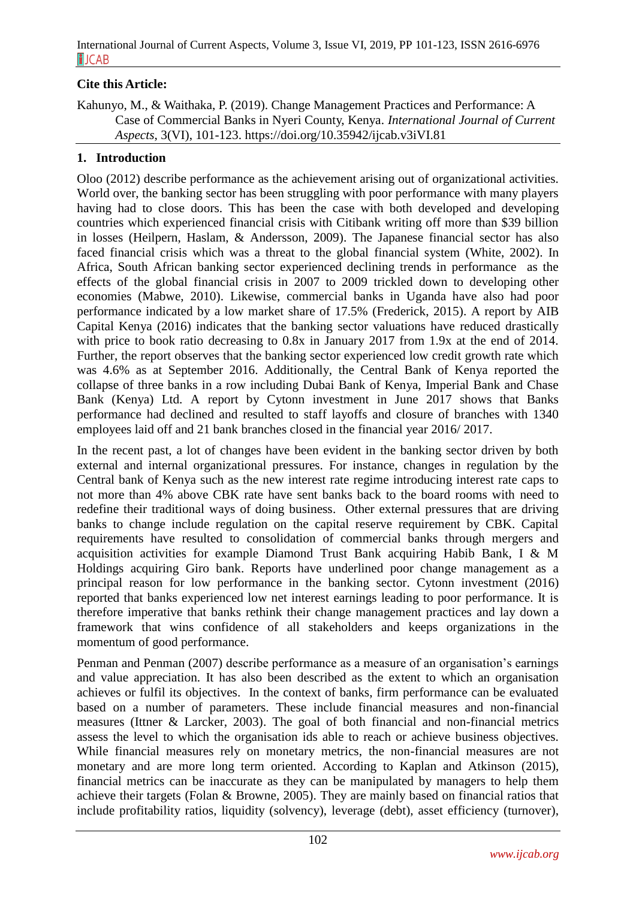## **Cite this Article:**

Kahunyo, M., & Waithaka, P. (2019). Change Management Practices and Performance: A Case of Commercial Banks in Nyeri County, Kenya. *International Journal of Current Aspects*, 3(VI), 101-123. https://doi.org/10.35942/ijcab.v3iVI.81

#### **1. Introduction**

Oloo (2012) describe performance as the achievement arising out of organizational activities. World over, the banking sector has been struggling with poor performance with many players having had to close doors. This has been the case with both developed and developing countries which experienced financial crisis with Citibank writing off more than \$39 billion in losses (Heilpern, Haslam, & Andersson, 2009). The Japanese financial sector has also faced financial crisis which was a threat to the global financial system (White, 2002). In Africa, South African banking sector experienced declining trends in performance as the effects of the global financial crisis in 2007 to 2009 trickled down to developing other economies (Mabwe, 2010). Likewise, commercial banks in Uganda have also had poor performance indicated by a low market share of 17.5% (Frederick, 2015). A report by AIB Capital Kenya (2016) indicates that the banking sector valuations have reduced drastically with price to book ratio decreasing to  $0.8x$  in January 2017 from 1.9x at the end of 2014. Further, the report observes that the banking sector experienced low credit growth rate which was 4.6% as at September 2016. Additionally, the Central Bank of Kenya reported the collapse of three banks in a row including Dubai Bank of Kenya, Imperial Bank and Chase Bank (Kenya) Ltd. A report by Cytonn investment in June 2017 shows that Banks performance had declined and resulted to staff layoffs and closure of branches with 1340 employees laid off and 21 bank branches closed in the financial year 2016/ 2017.

In the recent past, a lot of changes have been evident in the banking sector driven by both external and internal organizational pressures. For instance, changes in regulation by the Central bank of Kenya such as the new interest rate regime introducing interest rate caps to not more than 4% above CBK rate have sent banks back to the board rooms with need to redefine their traditional ways of doing business. Other external pressures that are driving banks to change include regulation on the capital reserve requirement by CBK. Capital requirements have resulted to consolidation of commercial banks through mergers and acquisition activities for example Diamond Trust Bank acquiring Habib Bank, I & M Holdings acquiring Giro bank. Reports have underlined poor change management as a principal reason for low performance in the banking sector. Cytonn investment (2016) reported that banks experienced low net interest earnings leading to poor performance. It is therefore imperative that banks rethink their change management practices and lay down a framework that wins confidence of all stakeholders and keeps organizations in the momentum of good performance.

Penman and Penman (2007) describe performance as a measure of an organisation's earnings and value appreciation. It has also been described as the extent to which an organisation achieves or fulfil its objectives. In the context of banks, firm performance can be evaluated based on a number of parameters. These include financial measures and non-financial measures (Ittner & Larcker, 2003). The goal of both financial and non-financial metrics assess the level to which the organisation ids able to reach or achieve business objectives. While financial measures rely on monetary metrics, the non-financial measures are not monetary and are more long term oriented. According to Kaplan and Atkinson (2015), financial metrics can be inaccurate as they can be manipulated by managers to help them achieve their targets (Folan & Browne, 2005). They are mainly based on financial ratios that include profitability ratios, liquidity (solvency), leverage (debt), asset efficiency (turnover),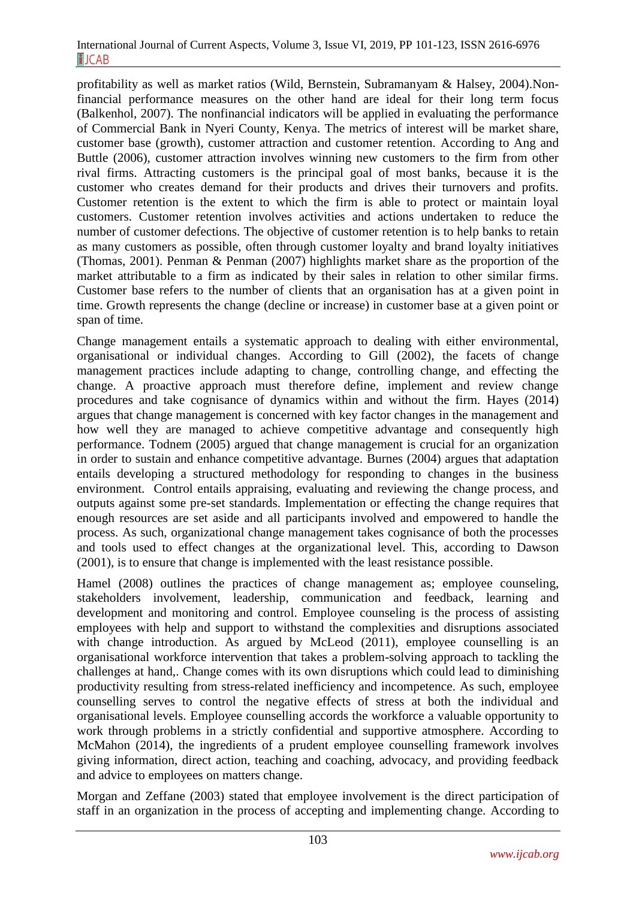profitability as well as market ratios (Wild, Bernstein, Subramanyam & Halsey, 2004).Nonfinancial performance measures on the other hand are ideal for their long term focus (Balkenhol, 2007). The nonfinancial indicators will be applied in evaluating the performance of Commercial Bank in Nyeri County, Kenya. The metrics of interest will be market share, customer base (growth), customer attraction and customer retention. According to Ang and Buttle (2006), customer attraction involves winning new customers to the firm from other rival firms. Attracting customers is the principal goal of most banks, because it is the customer who creates demand for their products and drives their turnovers and profits. Customer retention is the extent to which the firm is able to protect or maintain loyal customers. Customer retention involves activities and actions undertaken to reduce the number of customer defections. The objective of customer retention is to help banks to retain as many customers as possible, often through customer loyalty and brand loyalty initiatives (Thomas, 2001). Penman & Penman (2007) highlights market share as the proportion of the market attributable to a firm as indicated by their sales in relation to other similar firms. Customer base refers to the number of clients that an organisation has at a given point in time. Growth represents the change (decline or increase) in customer base at a given point or span of time.

Change management entails a systematic approach to dealing with either environmental, organisational or individual changes. According to Gill (2002), the facets of change management practices include adapting to change, controlling change, and effecting the change. A proactive approach must therefore define, implement and review change procedures and take cognisance of dynamics within and without the firm. Hayes (2014) argues that change management is concerned with key factor changes in the management and how well they are managed to achieve competitive advantage and consequently high performance. Todnem (2005) argued that change management is crucial for an organization in order to sustain and enhance competitive advantage. Burnes (2004) argues that adaptation entails developing a structured methodology for responding to changes in the business environment. Control entails appraising, evaluating and reviewing the change process, and outputs against some pre-set standards. Implementation or effecting the change requires that enough resources are set aside and all participants involved and empowered to handle the process. As such, organizational change management takes cognisance of both the processes and tools used to effect changes at the organizational level. This, according to Dawson (2001), is to ensure that change is implemented with the least resistance possible.

Hamel (2008) outlines the practices of change management as; employee counseling, stakeholders involvement, leadership, communication and feedback, learning and development and monitoring and control. Employee counseling is the process of assisting employees with help and support to withstand the complexities and disruptions associated with change introduction. As argued by McLeod (2011), employee counselling is an organisational workforce intervention that takes a problem-solving approach to tackling the challenges at hand,. Change comes with its own disruptions which could lead to diminishing productivity resulting from stress-related inefficiency and incompetence. As such, employee counselling serves to control the negative effects of stress at both the individual and organisational levels. Employee counselling accords the workforce a valuable opportunity to work through problems in a strictly confidential and supportive atmosphere. According to McMahon (2014), the ingredients of a prudent employee counselling framework involves giving information, direct action, teaching and coaching, advocacy, and providing feedback and advice to employees on matters change.

Morgan and Zeffane (2003) stated that employee involvement is the direct participation of staff in an organization in the process of accepting and implementing change. According to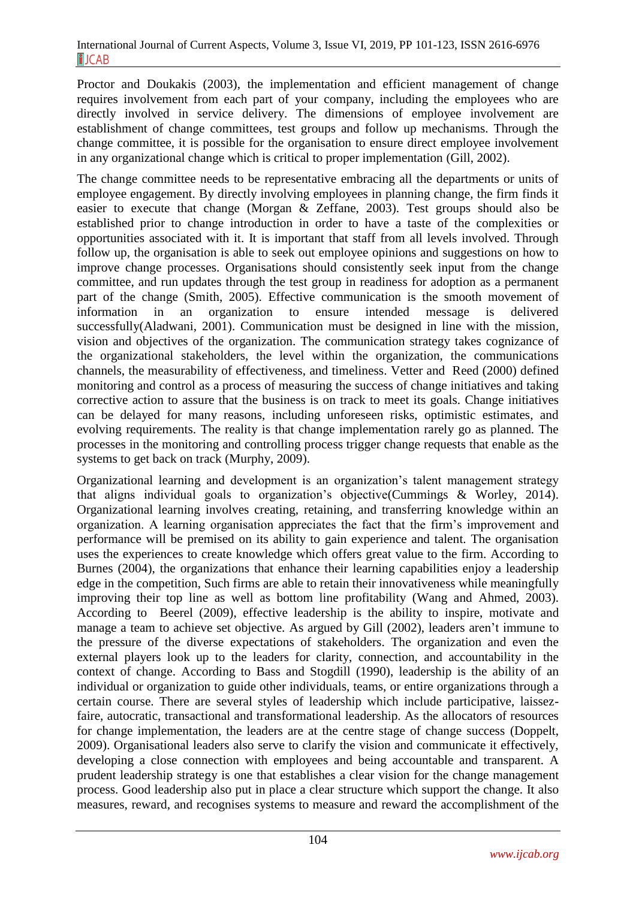Proctor and Doukakis (2003), the implementation and efficient management of change requires involvement from each part of your company, including the employees who are directly involved in service delivery. The dimensions of employee involvement are establishment of change committees, test groups and follow up mechanisms. Through the change committee, it is possible for the organisation to ensure direct employee involvement in any organizational change which is critical to proper implementation (Gill, 2002).

The change committee needs to be representative embracing all the departments or units of employee engagement. By directly involving employees in planning change, the firm finds it easier to execute that change (Morgan & Zeffane, 2003). Test groups should also be established prior to change introduction in order to have a taste of the complexities or opportunities associated with it. It is important that staff from all levels involved. Through follow up, the organisation is able to seek out employee opinions and suggestions on how to improve change processes. Organisations should consistently seek input from the change committee, and run updates through the test group in readiness for adoption as a permanent part of the change (Smith, 2005). Effective communication is the smooth movement of information in an organization to ensure intended message is delivered successfully(Aladwani, 2001). Communication must be designed in line with the mission, vision and objectives of the organization. The communication strategy takes cognizance of the organizational stakeholders, the level within the organization, the communications channels, the measurability of effectiveness, and timeliness. Vetter and Reed (2000) defined monitoring and control as a process of measuring the success of change initiatives and taking corrective action to assure that the business is on track to meet its goals. Change initiatives can be delayed for many reasons, including unforeseen risks, optimistic estimates, and evolving requirements. The reality is that change implementation rarely go as planned. The processes in the monitoring and controlling process trigger change requests that enable as the systems to get back on track (Murphy, 2009).

Organizational learning and development is an organization's talent management strategy that aligns individual goals to organization's objective(Cummings & Worley, 2014). Organizational learning involves creating, retaining, and transferring knowledge within an organization. A learning organisation appreciates the fact that the firm's improvement and performance will be premised on its ability to gain experience and talent. The organisation uses the experiences to create knowledge which offers great value to the firm. According to Burnes (2004), the organizations that enhance their learning capabilities enjoy a leadership edge in the competition, Such firms are able to retain their innovativeness while meaningfully improving their top line as well as bottom line profitability (Wang and Ahmed, 2003). According to Beerel (2009), effective leadership is the ability to inspire, motivate and manage a team to achieve set objective. As argued by Gill (2002), leaders aren't immune to the pressure of the diverse expectations of stakeholders. The organization and even the external players look up to the leaders for clarity, connection, and accountability in the context of change. According to Bass and Stogdill (1990), leadership is the ability of an individual or organization to guide other individuals, teams, or entire organizations through a certain course. There are several styles of leadership which include participative, laissezfaire, autocratic, transactional and transformational leadership. As the allocators of resources for change implementation, the leaders are at the centre stage of change success (Doppelt, 2009). Organisational leaders also serve to clarify the vision and communicate it effectively, developing a close connection with employees and being accountable and transparent. A prudent leadership strategy is one that establishes a clear vision for the change management process. Good leadership also put in place a clear structure which support the change. It also measures, reward, and recognises systems to measure and reward the accomplishment of the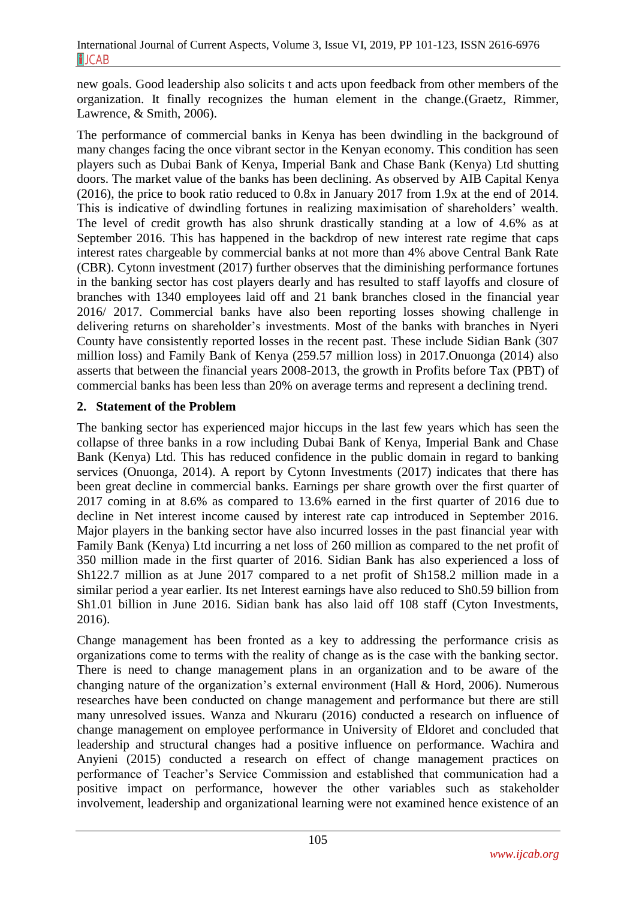new goals. Good leadership also solicits t and acts upon feedback from other members of the organization. It finally recognizes the human element in the change.(Graetz, Rimmer, Lawrence, & Smith, 2006).

The performance of commercial banks in Kenya has been dwindling in the background of many changes facing the once vibrant sector in the Kenyan economy. This condition has seen players such as Dubai Bank of Kenya, Imperial Bank and Chase Bank (Kenya) Ltd shutting doors. The market value of the banks has been declining. As observed by AIB Capital Kenya (2016), the price to book ratio reduced to 0.8x in January 2017 from 1.9x at the end of 2014. This is indicative of dwindling fortunes in realizing maximisation of shareholders' wealth. The level of credit growth has also shrunk drastically standing at a low of 4.6% as at September 2016. This has happened in the backdrop of new interest rate regime that caps interest rates chargeable by commercial banks at not more than 4% above Central Bank Rate (CBR). Cytonn investment (2017) further observes that the diminishing performance fortunes in the banking sector has cost players dearly and has resulted to staff layoffs and closure of branches with 1340 employees laid off and 21 bank branches closed in the financial year 2016/ 2017. Commercial banks have also been reporting losses showing challenge in delivering returns on shareholder's investments. Most of the banks with branches in Nyeri County have consistently reported losses in the recent past. These include Sidian Bank (307 million loss) and Family Bank of Kenya (259.57 million loss) in 2017.Onuonga (2014) also asserts that between the financial years 2008-2013, the growth in Profits before Tax (PBT) of commercial banks has been less than 20% on average terms and represent a declining trend.

# **2. Statement of the Problem**

The banking sector has experienced major hiccups in the last few years which has seen the collapse of three banks in a row including Dubai Bank of Kenya, Imperial Bank and Chase Bank (Kenya) Ltd. This has reduced confidence in the public domain in regard to banking services (Onuonga, 2014). A report by Cytonn Investments (2017) indicates that there has been great decline in commercial banks. Earnings per share growth over the first quarter of 2017 coming in at 8.6% as compared to 13.6% earned in the first quarter of 2016 due to decline in Net interest income caused by interest rate cap introduced in September 2016. Major players in the banking sector have also incurred losses in the past financial year with Family Bank (Kenya) Ltd incurring a net loss of 260 million as compared to the net profit of 350 million made in the first quarter of 2016. Sidian Bank has also experienced a loss of Sh122.7 million as at June 2017 compared to a net profit of Sh158.2 million made in a similar period a year earlier. Its net Interest earnings have also reduced to Sh0.59 billion from Sh1.01 billion in June 2016. Sidian bank has also laid off 108 staff (Cyton Investments, 2016).

Change management has been fronted as a key to addressing the performance crisis as organizations come to terms with the reality of change as is the case with the banking sector. There is need to change management plans in an organization and to be aware of the changing nature of the organization's external environment (Hall & Hord, 2006). Numerous researches have been conducted on change management and performance but there are still many unresolved issues. Wanza and Nkuraru (2016) conducted a research on influence of change management on employee performance in University of Eldoret and concluded that leadership and structural changes had a positive influence on performance. Wachira and Anyieni (2015) conducted a research on effect of change management practices on performance of Teacher's Service Commission and established that communication had a positive impact on performance, however the other variables such as stakeholder involvement, leadership and organizational learning were not examined hence existence of an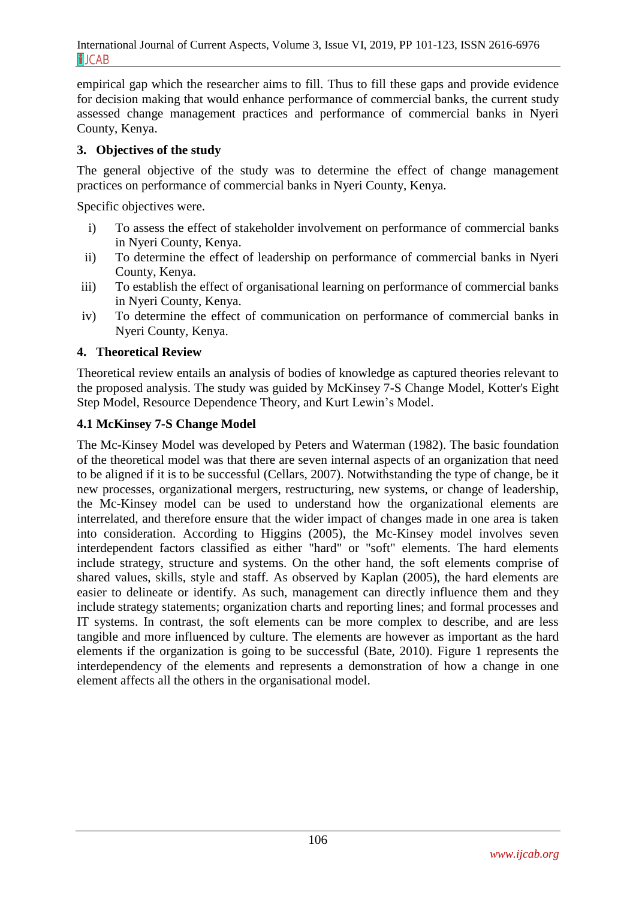empirical gap which the researcher aims to fill. Thus to fill these gaps and provide evidence for decision making that would enhance performance of commercial banks, the current study assessed change management practices and performance of commercial banks in Nyeri County, Kenya.

### **3. Objectives of the study**

The general objective of the study was to determine the effect of change management practices on performance of commercial banks in Nyeri County, Kenya.

Specific objectives were.

- i) To assess the effect of stakeholder involvement on performance of commercial banks in Nyeri County, Kenya.
- ii) To determine the effect of leadership on performance of commercial banks in Nyeri County, Kenya.
- iii) To establish the effect of organisational learning on performance of commercial banks in Nyeri County, Kenya.
- iv) To determine the effect of communication on performance of commercial banks in Nyeri County, Kenya.

#### **4. Theoretical Review**

Theoretical review entails an analysis of bodies of knowledge as captured theories relevant to the proposed analysis. The study was guided by McKinsey 7-S Change Model, Kotter's Eight Step Model, Resource Dependence Theory, and Kurt Lewin's Model.

### **4.1 McKinsey 7-S Change Model**

The Mc-Kinsey Model was developed by Peters and Waterman (1982). The basic foundation of the theoretical model was that there are seven internal aspects of an organization that need to be aligned if it is to be successful (Cellars, 2007). Notwithstanding the type of change, be it new processes, organizational mergers, restructuring, new systems, or change of leadership, the Mc-Kinsey model can be used to understand how the organizational elements are interrelated, and therefore ensure that the wider impact of changes made in one area is taken into consideration. According to Higgins (2005), the Mc-Kinsey model involves seven interdependent factors classified as either "hard" or "soft" elements. The hard elements include strategy, structure and systems. On the other hand, the soft elements comprise of shared values, skills, style and staff. As observed by Kaplan (2005), the hard elements are easier to delineate or identify. As such, management can directly influence them and they include strategy statements; organization charts and reporting lines; and formal processes and IT systems. In contrast, the soft elements can be more complex to describe, and are less tangible and more influenced by culture. The elements are however as important as the hard elements if the organization is going to be successful (Bate, 2010). Figure 1 represents the interdependency of the elements and represents a demonstration of how a change in one element affects all the others in the organisational model.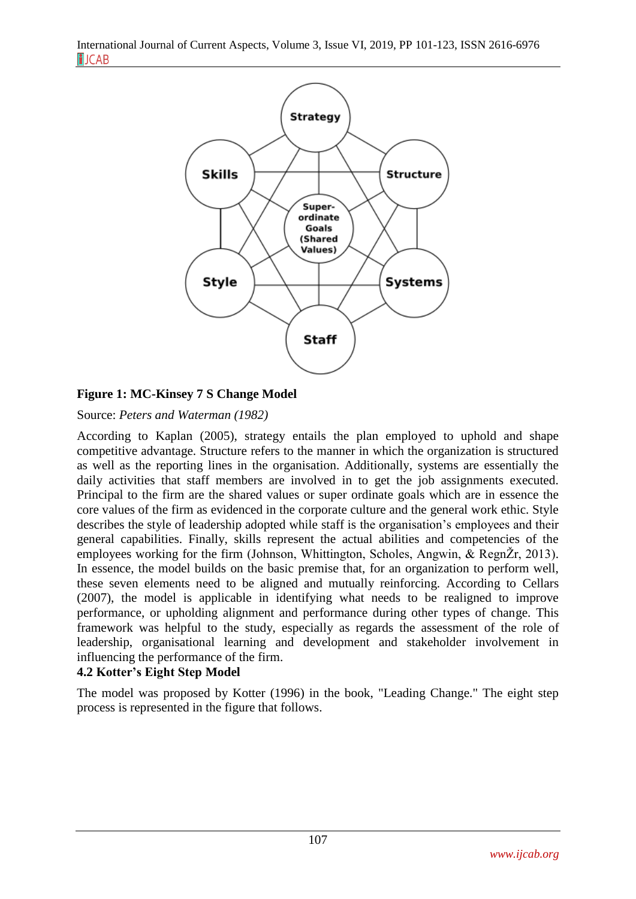

# **Figure 1: MC-Kinsey 7 S Change Model**

Source: *Peters and Waterman (1982)*

According to Kaplan (2005), strategy entails the plan employed to uphold and shape competitive advantage. Structure refers to the manner in which the organization is structured as well as the reporting lines in the organisation. Additionally, systems are essentially the daily activities that staff members are involved in to get the job assignments executed. Principal to the firm are the shared values or super ordinate goals which are in essence the core values of the firm as evidenced in the corporate culture and the general work ethic. Style describes the style of leadership adopted while staff is the organisation's employees and their general capabilities. Finally, skills represent the actual abilities and competencies of the employees working for the firm (Johnson, Whittington, Scholes, Angwin, & RegnŽr, 2013). In essence, the model builds on the basic premise that, for an organization to perform well, these seven elements need to be aligned and mutually reinforcing. According to Cellars (2007), the model is applicable in identifying what needs to be realigned to improve performance, or upholding alignment and performance during other types of change. This framework was helpful to the study, especially as regards the assessment of the role of leadership, organisational learning and development and stakeholder involvement in influencing the performance of the firm.

## **4.2 Kotter's Eight Step Model**

The model was proposed by Kotter (1996) in the book, "Leading Change." The eight step process is represented in the figure that follows.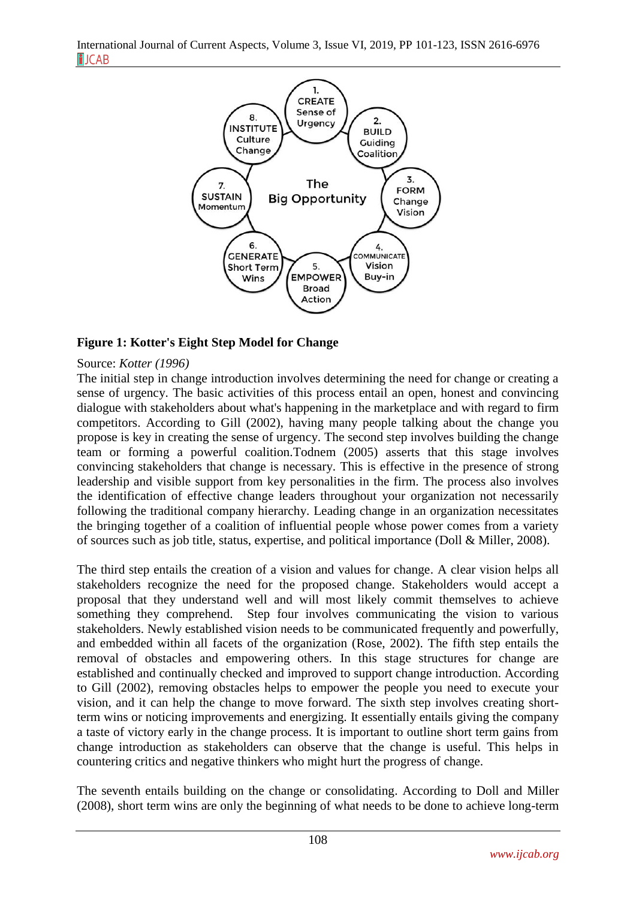International Journal of Current Aspects, Volume 3, Issue VI, 2019, PP 101-123, ISSN 2616-6976 **FJCAB** 



### **Figure 1: Kotter's Eight Step Model for Change**

#### Source: *Kotter (1996)*

The initial step in change introduction involves determining the need for change or creating a sense of urgency. The basic activities of this process entail an open, honest and convincing dialogue with stakeholders about what's happening in the marketplace and with regard to firm competitors. According to Gill (2002), having many people talking about the change you propose is key in creating the sense of urgency. The second step involves building the change team or forming a powerful coalition.Todnem (2005) asserts that this stage involves convincing stakeholders that change is necessary. This is effective in the presence of strong leadership and visible support from key personalities in the firm. The process also involves the identification of effective change leaders throughout your organization not necessarily following the traditional company hierarchy. Leading change in an organization necessitates the bringing together of a coalition of influential people whose power comes from a variety of sources such as job title, status, expertise, and political importance (Doll & Miller, 2008).

The third step entails the creation of a vision and values for change. A clear vision helps all stakeholders recognize the need for the proposed change. Stakeholders would accept a proposal that they understand well and will most likely commit themselves to achieve something they comprehend. Step four involves communicating the vision to various stakeholders. Newly established vision needs to be communicated frequently and powerfully, and embedded within all facets of the organization (Rose, 2002). The fifth step entails the removal of obstacles and empowering others. In this stage structures for change are established and continually checked and improved to support change introduction. According to Gill (2002), removing obstacles helps to empower the people you need to execute your vision, and it can help the change to move forward. The sixth step involves creating shortterm wins or noticing improvements and energizing. It essentially entails giving the company a taste of victory early in the change process. It is important to outline short term gains from change introduction as stakeholders can observe that the change is useful. This helps in countering critics and negative thinkers who might hurt the progress of change.

The seventh entails building on the change or consolidating. According to Doll and Miller (2008), short term wins are only the beginning of what needs to be done to achieve long-term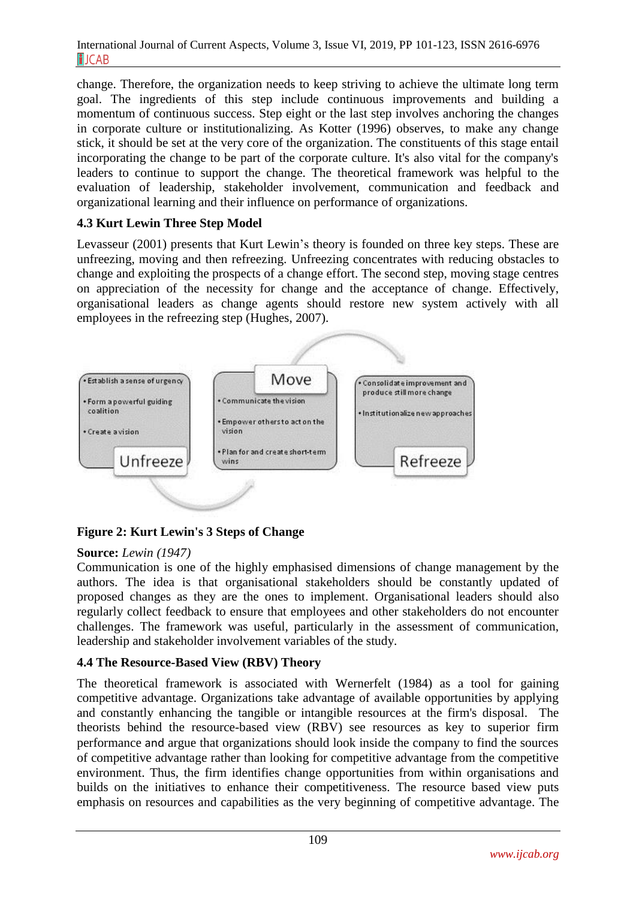change. Therefore, the organization needs to keep striving to achieve the ultimate long term goal. The ingredients of this step include continuous improvements and building a momentum of continuous success. Step eight or the last step involves anchoring the changes in corporate culture or institutionalizing. As Kotter (1996) observes, to make any change stick, it should be set at the very core of the organization. The constituents of this stage entail incorporating the change to be part of the corporate culture. It's also vital for the company's leaders to continue to support the change. The theoretical framework was helpful to the evaluation of leadership, stakeholder involvement, communication and feedback and organizational learning and their influence on performance of organizations.

# **4.3 Kurt Lewin Three Step Model**

Levasseur (2001) presents that Kurt Lewin's theory is founded on three key steps. These are unfreezing, moving and then refreezing. Unfreezing concentrates with reducing obstacles to change and exploiting the prospects of a change effort. The second step, moving stage centres on appreciation of the necessity for change and the acceptance of change. Effectively, organisational leaders as change agents should restore new system actively with all employees in the refreezing step (Hughes, 2007).



# **Figure 2: Kurt Lewin's 3 Steps of Change**

## **Source:** *Lewin (1947)*

Communication is one of the highly emphasised dimensions of change management by the authors. The idea is that organisational stakeholders should be constantly updated of proposed changes as they are the ones to implement. Organisational leaders should also regularly collect feedback to ensure that employees and other stakeholders do not encounter challenges. The framework was useful, particularly in the assessment of communication, leadership and stakeholder involvement variables of the study.

# **4.4 The Resource-Based View (RBV) Theory**

The theoretical framework is associated with Wernerfelt (1984) as a tool for gaining competitive advantage. Organizations take advantage of available opportunities by applying and constantly enhancing the tangible or intangible resources at the firm's disposal. The theorists behind the resource-based view (RBV) see resources as key to superior firm performance and argue that organizations should look inside the company to find the sources of competitive advantage rather than looking for competitive advantage from the competitive environment. Thus, the firm identifies change opportunities from within organisations and builds on the initiatives to enhance their competitiveness. The resource based view puts emphasis on resources and capabilities as the very beginning of competitive advantage. The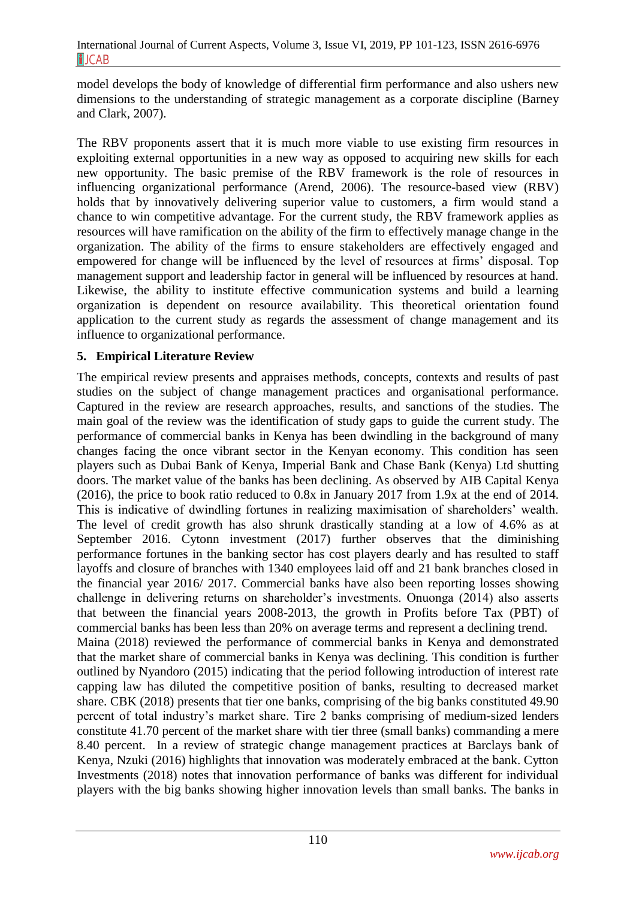model develops the body of knowledge of differential firm performance and also ushers new dimensions to the understanding of strategic management as a corporate discipline (Barney and Clark, 2007).

The RBV proponents assert that it is much more viable to use existing firm resources in exploiting external opportunities in a new way as opposed to acquiring new skills for each new opportunity. The basic premise of the RBV framework is the role of resources in influencing organizational performance (Arend, 2006). The resource-based view (RBV) holds that by innovatively delivering superior value to customers, a firm would stand a chance to win competitive advantage. For the current study, the RBV framework applies as resources will have ramification on the ability of the firm to effectively manage change in the organization. The ability of the firms to ensure stakeholders are effectively engaged and empowered for change will be influenced by the level of resources at firms' disposal. Top management support and leadership factor in general will be influenced by resources at hand. Likewise, the ability to institute effective communication systems and build a learning organization is dependent on resource availability. This theoretical orientation found application to the current study as regards the assessment of change management and its influence to organizational performance.

# **5. Empirical Literature Review**

The empirical review presents and appraises methods, concepts, contexts and results of past studies on the subject of change management practices and organisational performance. Captured in the review are research approaches, results, and sanctions of the studies. The main goal of the review was the identification of study gaps to guide the current study. The performance of commercial banks in Kenya has been dwindling in the background of many changes facing the once vibrant sector in the Kenyan economy. This condition has seen players such as Dubai Bank of Kenya, Imperial Bank and Chase Bank (Kenya) Ltd shutting doors. The market value of the banks has been declining. As observed by AIB Capital Kenya (2016), the price to book ratio reduced to 0.8x in January 2017 from 1.9x at the end of 2014. This is indicative of dwindling fortunes in realizing maximisation of shareholders' wealth. The level of credit growth has also shrunk drastically standing at a low of 4.6% as at September 2016. Cytonn investment (2017) further observes that the diminishing performance fortunes in the banking sector has cost players dearly and has resulted to staff layoffs and closure of branches with 1340 employees laid off and 21 bank branches closed in the financial year 2016/ 2017. Commercial banks have also been reporting losses showing challenge in delivering returns on shareholder's investments. Onuonga (2014) also asserts that between the financial years 2008-2013, the growth in Profits before Tax (PBT) of commercial banks has been less than 20% on average terms and represent a declining trend. Maina (2018) reviewed the performance of commercial banks in Kenya and demonstrated that the market share of commercial banks in Kenya was declining. This condition is further outlined by Nyandoro (2015) indicating that the period following introduction of interest rate capping law has diluted the competitive position of banks, resulting to decreased market share. CBK (2018) presents that tier one banks, comprising of the big banks constituted 49.90 percent of total industry's market share. Tire 2 banks comprising of medium-sized lenders constitute 41.70 percent of the market share with tier three (small banks) commanding a mere 8.40 percent. In a review of strategic change management practices at Barclays bank of Kenya, Nzuki (2016) highlights that innovation was moderately embraced at the bank. Cytton Investments (2018) notes that innovation performance of banks was different for individual players with the big banks showing higher innovation levels than small banks. The banks in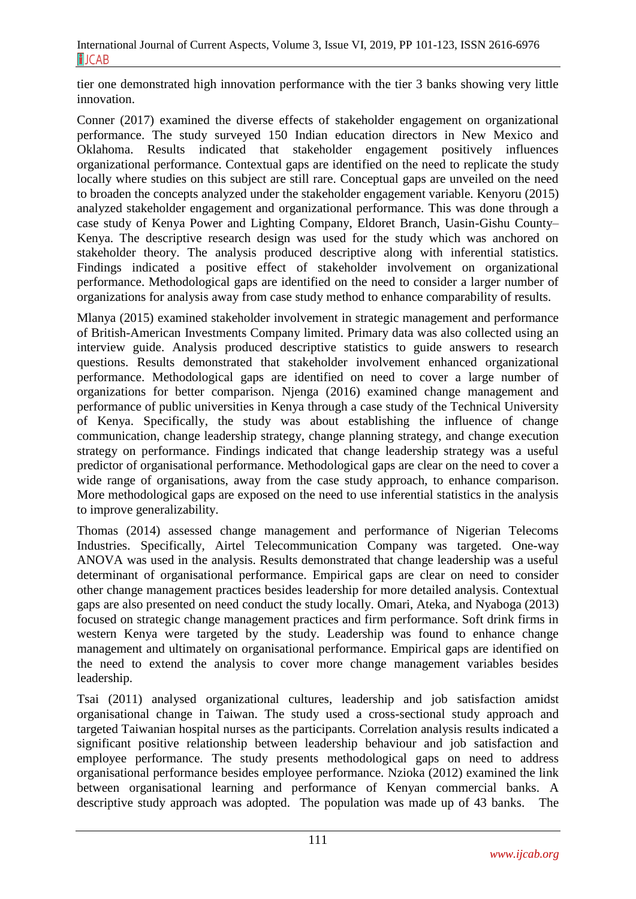tier one demonstrated high innovation performance with the tier 3 banks showing very little innovation.

Conner (2017) examined the diverse effects of stakeholder engagement on organizational performance. The study surveyed 150 Indian education directors in New Mexico and Oklahoma. Results indicated that stakeholder engagement positively influences organizational performance. Contextual gaps are identified on the need to replicate the study locally where studies on this subject are still rare. Conceptual gaps are unveiled on the need to broaden the concepts analyzed under the stakeholder engagement variable. Kenyoru (2015) analyzed stakeholder engagement and organizational performance. This was done through a case study of Kenya Power and Lighting Company, Eldoret Branch, Uasin-Gishu County– Kenya. The descriptive research design was used for the study which was anchored on stakeholder theory. The analysis produced descriptive along with inferential statistics. Findings indicated a positive effect of stakeholder involvement on organizational performance. Methodological gaps are identified on the need to consider a larger number of organizations for analysis away from case study method to enhance comparability of results.

Mlanya (2015) examined stakeholder involvement in strategic management and performance of British-American Investments Company limited. Primary data was also collected using an interview guide. Analysis produced descriptive statistics to guide answers to research questions. Results demonstrated that stakeholder involvement enhanced organizational performance. Methodological gaps are identified on need to cover a large number of organizations for better comparison. Njenga (2016) examined change management and performance of public universities in Kenya through a case study of the Technical University of Kenya. Specifically, the study was about establishing the influence of change communication, change leadership strategy, change planning strategy, and change execution strategy on performance. Findings indicated that change leadership strategy was a useful predictor of organisational performance. Methodological gaps are clear on the need to cover a wide range of organisations, away from the case study approach, to enhance comparison. More methodological gaps are exposed on the need to use inferential statistics in the analysis to improve generalizability.

Thomas (2014) assessed change management and performance of Nigerian Telecoms Industries. Specifically, Airtel Telecommunication Company was targeted. One-way ANOVA was used in the analysis. Results demonstrated that change leadership was a useful determinant of organisational performance. Empirical gaps are clear on need to consider other change management practices besides leadership for more detailed analysis. Contextual gaps are also presented on need conduct the study locally. Omari, Ateka, and Nyaboga (2013) focused on strategic change management practices and firm performance. Soft drink firms in western Kenya were targeted by the study. Leadership was found to enhance change management and ultimately on organisational performance. Empirical gaps are identified on the need to extend the analysis to cover more change management variables besides leadership.

Tsai (2011) analysed organizational cultures, leadership and job satisfaction amidst organisational change in Taiwan. The study used a cross-sectional study approach and targeted Taiwanian hospital nurses as the participants. Correlation analysis results indicated a significant positive relationship between leadership behaviour and job satisfaction and employee performance. The study presents methodological gaps on need to address organisational performance besides employee performance. Nzioka (2012) examined the link between organisational learning and performance of Kenyan commercial banks. A descriptive study approach was adopted. The population was made up of 43 banks. The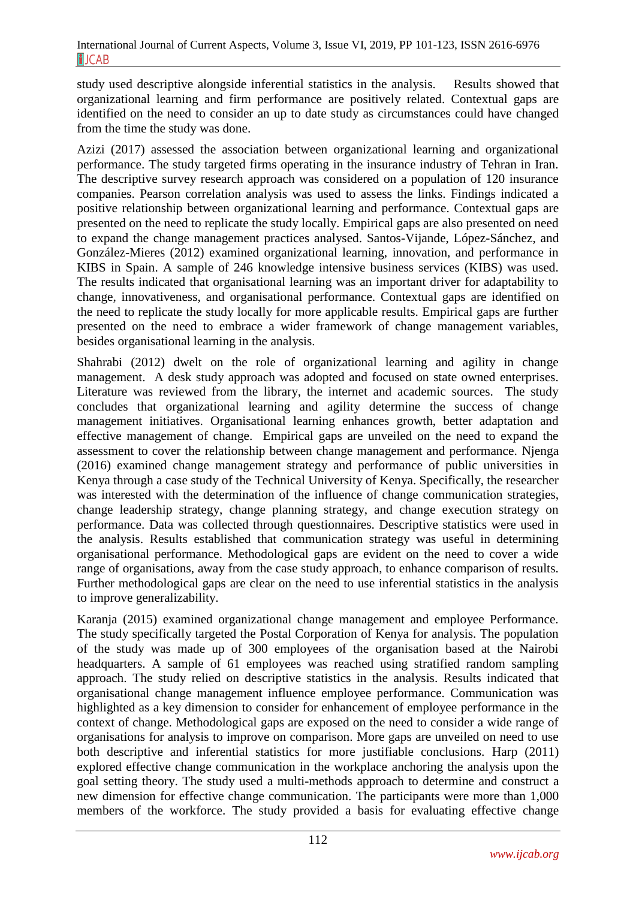study used descriptive alongside inferential statistics in the analysis. Results showed that organizational learning and firm performance are positively related. Contextual gaps are identified on the need to consider an up to date study as circumstances could have changed from the time the study was done.

Azizi (2017) assessed the association between organizational learning and organizational performance. The study targeted firms operating in the insurance industry of Tehran in Iran. The descriptive survey research approach was considered on a population of 120 insurance companies. Pearson correlation analysis was used to assess the links. Findings indicated a positive relationship between organizational learning and performance. Contextual gaps are presented on the need to replicate the study locally. Empirical gaps are also presented on need to expand the change management practices analysed. Santos-Vijande, López-Sánchez, and González-Mieres (2012) examined organizational learning, innovation, and performance in KIBS in Spain. A sample of 246 knowledge intensive business services (KIBS) was used. The results indicated that organisational learning was an important driver for adaptability to change, innovativeness, and organisational performance. Contextual gaps are identified on the need to replicate the study locally for more applicable results. Empirical gaps are further presented on the need to embrace a wider framework of change management variables, besides organisational learning in the analysis.

Shahrabi (2012) dwelt on the role of organizational learning and agility in change management. A desk study approach was adopted and focused on state owned enterprises. Literature was reviewed from the library, the internet and academic sources. The study concludes that organizational learning and agility determine the success of change management initiatives. Organisational learning enhances growth, better adaptation and effective management of change. Empirical gaps are unveiled on the need to expand the assessment to cover the relationship between change management and performance. Njenga (2016) examined change management strategy and performance of public universities in Kenya through a case study of the Technical University of Kenya. Specifically, the researcher was interested with the determination of the influence of change communication strategies, change leadership strategy, change planning strategy, and change execution strategy on performance. Data was collected through questionnaires. Descriptive statistics were used in the analysis. Results established that communication strategy was useful in determining organisational performance. Methodological gaps are evident on the need to cover a wide range of organisations, away from the case study approach, to enhance comparison of results. Further methodological gaps are clear on the need to use inferential statistics in the analysis to improve generalizability.

Karanja (2015) examined organizational change management and employee Performance. The study specifically targeted the Postal Corporation of Kenya for analysis. The population of the study was made up of 300 employees of the organisation based at the Nairobi headquarters. A sample of 61 employees was reached using stratified random sampling approach. The study relied on descriptive statistics in the analysis. Results indicated that organisational change management influence employee performance. Communication was highlighted as a key dimension to consider for enhancement of employee performance in the context of change. Methodological gaps are exposed on the need to consider a wide range of organisations for analysis to improve on comparison. More gaps are unveiled on need to use both descriptive and inferential statistics for more justifiable conclusions. Harp (2011) explored effective change communication in the workplace anchoring the analysis upon the goal setting theory. The study used a multi-methods approach to determine and construct a new dimension for effective change communication. The participants were more than 1,000 members of the workforce. The study provided a basis for evaluating effective change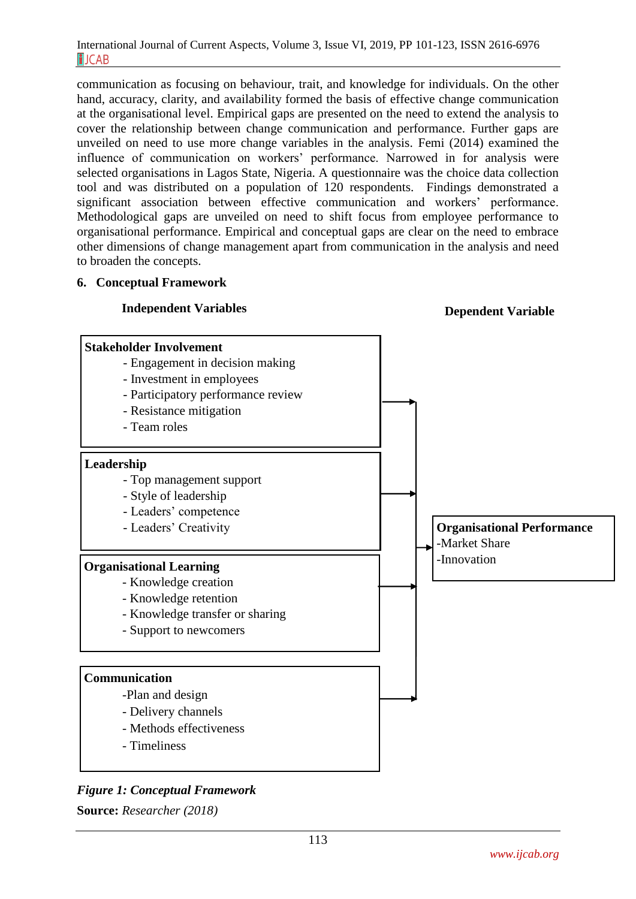communication as focusing on behaviour, trait, and knowledge for individuals. On the other hand, accuracy, clarity, and availability formed the basis of effective change communication at the organisational level. Empirical gaps are presented on the need to extend the analysis to cover the relationship between change communication and performance. Further gaps are unveiled on need to use more change variables in the analysis. Femi (2014) examined the influence of communication on workers' performance. Narrowed in for analysis were selected organisations in Lagos State, Nigeria. A questionnaire was the choice data collection tool and was distributed on a population of 120 respondents. Findings demonstrated a significant association between effective communication and workers' performance. Methodological gaps are unveiled on need to shift focus from employee performance to organisational performance. Empirical and conceptual gaps are clear on the need to embrace other dimensions of change management apart from communication in the analysis and need to broaden the concepts.

#### **6. Conceptual Framework**



*Figure 1: Conceptual Framework*

**Source:** *Researcher (2018)*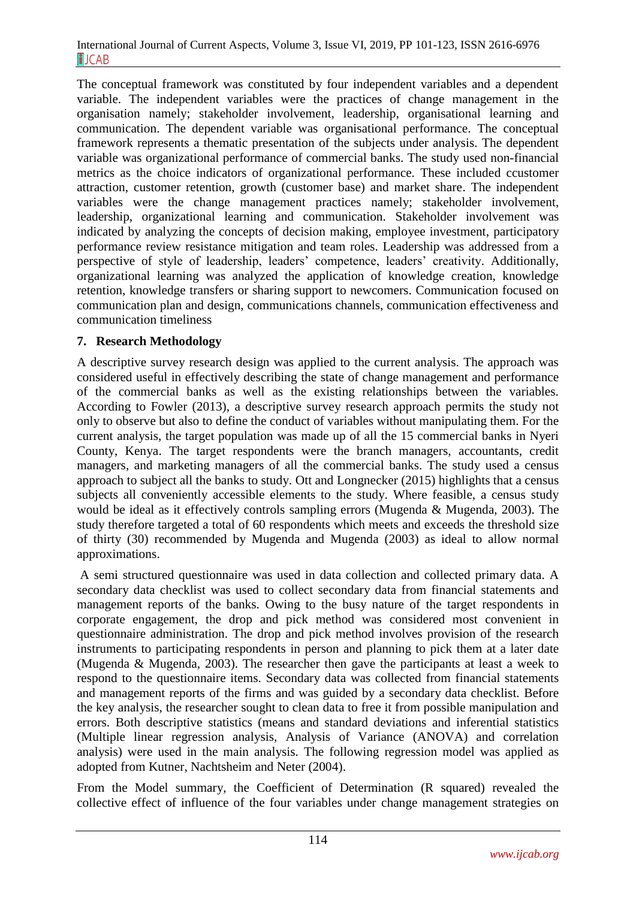The conceptual framework was constituted by four independent variables and a dependent variable. The independent variables were the practices of change management in the organisation namely; stakeholder involvement, leadership, organisational learning and communication. The dependent variable was organisational performance. The conceptual framework represents a thematic presentation of the subjects under analysis. The dependent variable was organizational performance of commercial banks. The study used non-financial metrics as the choice indicators of organizational performance. These included ccustomer attraction, customer retention, growth (customer base) and market share. The independent variables were the change management practices namely; stakeholder involvement, leadership, organizational learning and communication. Stakeholder involvement was indicated by analyzing the concepts of decision making, employee investment, participatory performance review resistance mitigation and team roles. Leadership was addressed from a perspective of style of leadership, leaders' competence, leaders' creativity. Additionally, organizational learning was analyzed the application of knowledge creation, knowledge retention, knowledge transfers or sharing support to newcomers. Communication focused on communication plan and design, communications channels, communication effectiveness and communication timeliness

### **7. Research Methodology**

A descriptive survey research design was applied to the current analysis. The approach was considered useful in effectively describing the state of change management and performance of the commercial banks as well as the existing relationships between the variables. According to Fowler (2013), a descriptive survey research approach permits the study not only to observe but also to define the conduct of variables without manipulating them. For the current analysis, the target population was made up of all the 15 commercial banks in Nyeri County, Kenya. The target respondents were the branch managers, accountants, credit managers, and marketing managers of all the commercial banks. The study used a census approach to subject all the banks to study. Ott and Longnecker (2015) highlights that a census subjects all conveniently accessible elements to the study. Where feasible, a census study would be ideal as it effectively controls sampling errors (Mugenda & Mugenda, 2003). The study therefore targeted a total of 60 respondents which meets and exceeds the threshold size of thirty (30) recommended by Mugenda and Mugenda (2003) as ideal to allow normal approximations.

A semi structured questionnaire was used in data collection and collected primary data. A secondary data checklist was used to collect secondary data from financial statements and management reports of the banks. Owing to the busy nature of the target respondents in corporate engagement, the drop and pick method was considered most convenient in questionnaire administration. The drop and pick method involves provision of the research instruments to participating respondents in person and planning to pick them at a later date (Mugenda & Mugenda, 2003). The researcher then gave the participants at least a week to respond to the questionnaire items. Secondary data was collected from financial statements and management reports of the firms and was guided by a secondary data checklist. Before the key analysis, the researcher sought to clean data to free it from possible manipulation and errors. Both descriptive statistics (means and standard deviations and inferential statistics (Multiple linear regression analysis, Analysis of Variance (ANOVA) and correlation analysis) were used in the main analysis. The following regression model was applied as adopted from Kutner, Nachtsheim and Neter (2004).

From the Model summary, the Coefficient of Determination (R squared) revealed the collective effect of influence of the four variables under change management strategies on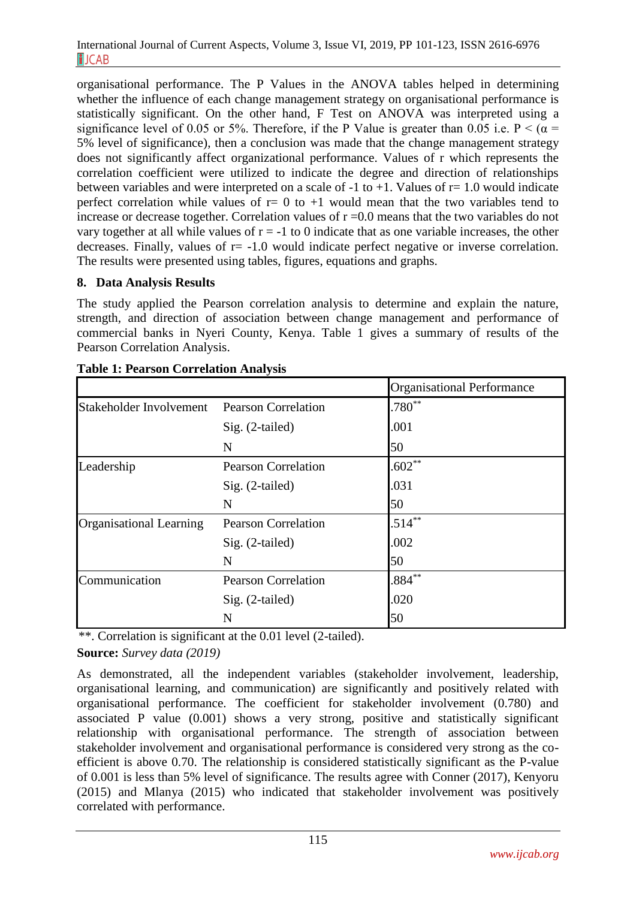organisational performance. The P Values in the ANOVA tables helped in determining whether the influence of each change management strategy on organisational performance is statistically significant. On the other hand, F Test on ANOVA was interpreted using a significance level of 0.05 or 5%. Therefore, if the P Value is greater than 0.05 i.e.  $P < (\alpha =$ 5% level of significance), then a conclusion was made that the change management strategy does not significantly affect organizational performance. Values of r which represents the correlation coefficient were utilized to indicate the degree and direction of relationships between variables and were interpreted on a scale of  $-1$  to  $+1$ . Values of  $r=1.0$  would indicate perfect correlation while values of  $r= 0$  to  $+1$  would mean that the two variables tend to increase or decrease together. Correlation values of  $r = 0.0$  means that the two variables do not vary together at all while values of  $r = -1$  to 0 indicate that as one variable increases, the other decreases. Finally, values of  $r = -1.0$  would indicate perfect negative or inverse correlation. The results were presented using tables, figures, equations and graphs.

## **8. Data Analysis Results**

The study applied the Pearson correlation analysis to determine and explain the nature, strength, and direction of association between change management and performance of commercial banks in Nyeri County, Kenya. Table 1 gives a summary of results of the Pearson Correlation Analysis.

|                                |                            | <b>Organisational Performance</b> |
|--------------------------------|----------------------------|-----------------------------------|
| Stakeholder Involvement        | <b>Pearson Correlation</b> | $.780**$                          |
|                                | Sig. (2-tailed)            | .001                              |
|                                | N                          | 50                                |
| Leadership                     | <b>Pearson Correlation</b> | $.602**$                          |
|                                | Sig. (2-tailed)            | .031                              |
|                                | N                          | 50                                |
| <b>Organisational Learning</b> | <b>Pearson Correlation</b> | $.514***$                         |
|                                | Sig. (2-tailed)            | .002                              |
|                                | N                          | 50                                |
| Communication                  | <b>Pearson Correlation</b> | $884***$                          |
|                                | Sig. (2-tailed)            | .020                              |
|                                | N                          | 50                                |

| <b>Table 1: Pearson Correlation Analysis</b> |  |  |  |  |
|----------------------------------------------|--|--|--|--|
|----------------------------------------------|--|--|--|--|

\*\*. Correlation is significant at the 0.01 level (2-tailed).

**Source:** *Survey data (2019)*

As demonstrated, all the independent variables (stakeholder involvement, leadership, organisational learning, and communication) are significantly and positively related with organisational performance. The coefficient for stakeholder involvement (0.780) and associated P value (0.001) shows a very strong, positive and statistically significant relationship with organisational performance. The strength of association between stakeholder involvement and organisational performance is considered very strong as the coefficient is above 0.70. The relationship is considered statistically significant as the P-value of 0.001 is less than 5% level of significance. The results agree with Conner (2017), Kenyoru (2015) and Mlanya (2015) who indicated that stakeholder involvement was positively correlated with performance.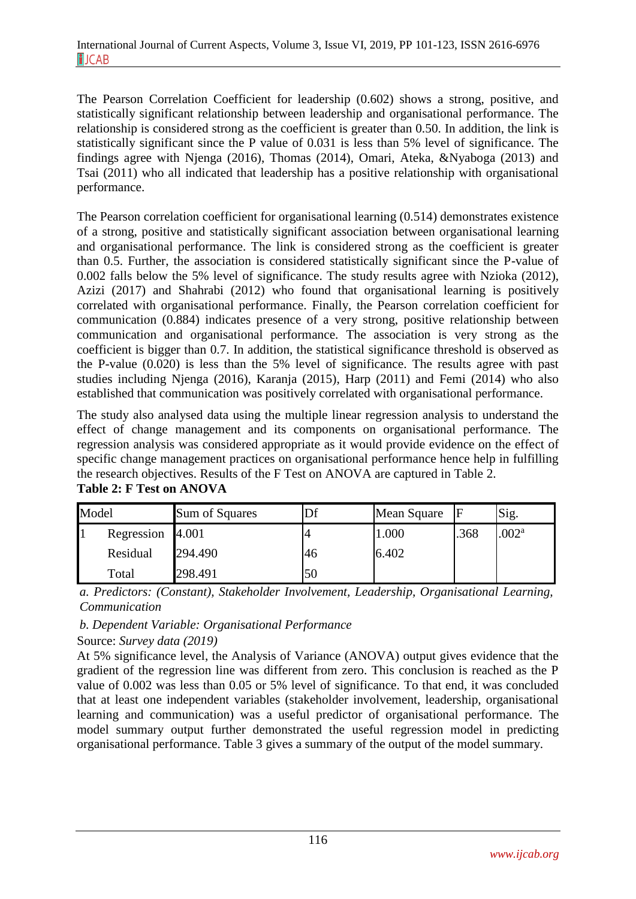The Pearson Correlation Coefficient for leadership (0.602) shows a strong, positive, and statistically significant relationship between leadership and organisational performance. The relationship is considered strong as the coefficient is greater than 0.50. In addition, the link is statistically significant since the P value of 0.031 is less than 5% level of significance. The findings agree with Njenga (2016), Thomas (2014), Omari, Ateka, &Nyaboga (2013) and Tsai (2011) who all indicated that leadership has a positive relationship with organisational performance.

The Pearson correlation coefficient for organisational learning (0.514) demonstrates existence of a strong, positive and statistically significant association between organisational learning and organisational performance. The link is considered strong as the coefficient is greater than 0.5. Further, the association is considered statistically significant since the P-value of 0.002 falls below the 5% level of significance. The study results agree with Nzioka (2012), Azizi (2017) and Shahrabi (2012) who found that organisational learning is positively correlated with organisational performance. Finally, the Pearson correlation coefficient for communication (0.884) indicates presence of a very strong, positive relationship between communication and organisational performance. The association is very strong as the coefficient is bigger than 0.7. In addition, the statistical significance threshold is observed as the P-value (0.020) is less than the 5% level of significance. The results agree with past studies including Njenga (2016), Karanja (2015), Harp (2011) and Femi (2014) who also established that communication was positively correlated with organisational performance.

The study also analysed data using the multiple linear regression analysis to understand the effect of change management and its components on organisational performance. The regression analysis was considered appropriate as it would provide evidence on the effect of specific change management practices on organisational performance hence help in fulfilling the research objectives. Results of the F Test on ANOVA are captured in Table 2. **Table 2: F Test on ANOVA**

| Model |                  | Sum of Squares |    | Mean Square | F    | Sig.              |
|-------|------------------|----------------|----|-------------|------|-------------------|
|       | Regression 4.001 |                |    | 1.000       | .368 | .002 <sup>a</sup> |
|       | Residual         | 294.490        | 46 | 6.402       |      |                   |
|       | Total            | 298.491        | 50 |             |      |                   |

*a. Predictors: (Constant), Stakeholder Involvement, Leadership, Organisational Learning, Communication*

*b. Dependent Variable: Organisational Performance*

Source: *Survey data (2019)*

At 5% significance level, the Analysis of Variance (ANOVA) output gives evidence that the gradient of the regression line was different from zero. This conclusion is reached as the P value of 0.002 was less than 0.05 or 5% level of significance. To that end, it was concluded that at least one independent variables (stakeholder involvement, leadership, organisational learning and communication) was a useful predictor of organisational performance. The model summary output further demonstrated the useful regression model in predicting organisational performance. Table 3 gives a summary of the output of the model summary.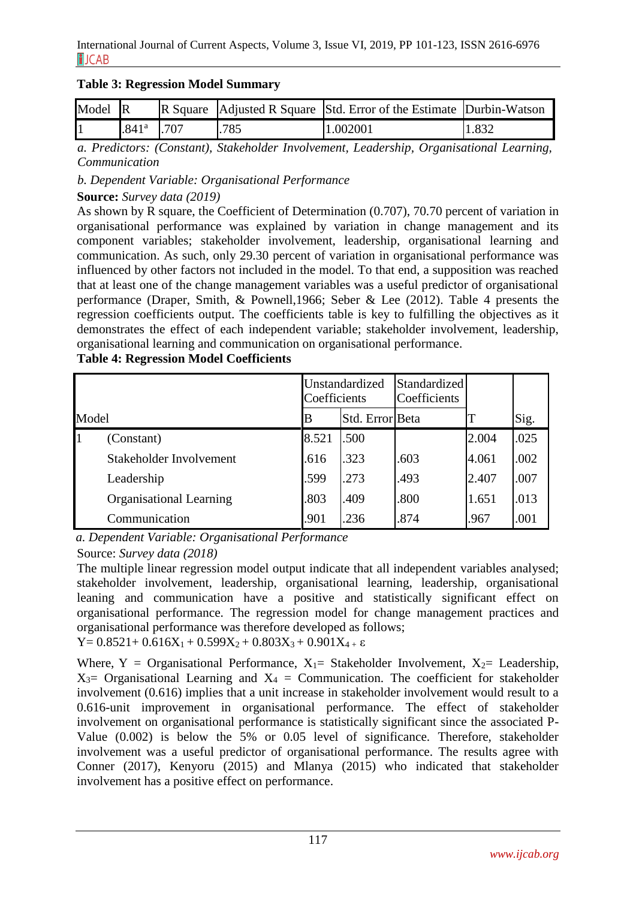|  |  |  | <b>Table 3: Regression Model Summary</b> |
|--|--|--|------------------------------------------|
|--|--|--|------------------------------------------|

| Model R |                   |      |      | R Square Adjusted R Square Std. Error of the Estimate Durbin-Watson |       |
|---------|-------------------|------|------|---------------------------------------------------------------------|-------|
|         | .841 <sup>a</sup> | .707 | .785 | 1.002001                                                            | 1.832 |

*a. Predictors: (Constant), Stakeholder Involvement, Leadership, Organisational Learning, Communication*

*b. Dependent Variable: Organisational Performance*

**Source:** *Survey data (2019)*

As shown by R square, the Coefficient of Determination (0.707), 70.70 percent of variation in organisational performance was explained by variation in change management and its component variables; stakeholder involvement, leadership, organisational learning and communication. As such, only 29.30 percent of variation in organisational performance was influenced by other factors not included in the model. To that end, a supposition was reached that at least one of the change management variables was a useful predictor of organisational performance (Draper, Smith, & Pownell,1966; Seber & Lee (2012). Table 4 presents the regression coefficients output. The coefficients table is key to fulfilling the objectives as it demonstrates the effect of each independent variable; stakeholder involvement, leadership, organisational learning and communication on organisational performance.

| Model |                                | Unstandardized<br>Coefficients |                 | Standardized<br>Coefficients |       |      |
|-------|--------------------------------|--------------------------------|-----------------|------------------------------|-------|------|
|       |                                | B                              | Std. Error Beta |                              |       | Sig. |
|       | (Constant)                     | 8.521                          | .500            |                              | 2.004 | .025 |
|       | Stakeholder Involvement        | .616                           | .323            | .603                         | 4.061 | .002 |
|       | Leadership                     | .599                           | .273            | .493                         | 2.407 | .007 |
|       | <b>Organisational Learning</b> | .803                           | .409            | .800                         | 1.651 | .013 |
|       | Communication                  | .901                           | .236            | .874                         | .967  | .001 |

**Table 4: Regression Model Coefficients**

*a. Dependent Variable: Organisational Performance*

Source: *Survey data (2018)*

The multiple linear regression model output indicate that all independent variables analysed: stakeholder involvement, leadership, organisational learning, leadership, organisational leaning and communication have a positive and statistically significant effect on organisational performance. The regression model for change management practices and organisational performance was therefore developed as follows;

Y=  $0.8521+0.616X_1+0.599X_2+0.803X_3+0.901X_4+\epsilon$ 

Where, Y = Organisational Performance,  $X_1$  = Stakeholder Involvement,  $X_2$  = Leadership,  $X_3$ = Organisational Learning and  $X_4$  = Communication. The coefficient for stakeholder involvement (0.616) implies that a unit increase in stakeholder involvement would result to a 0.616-unit improvement in organisational performance. The effect of stakeholder involvement on organisational performance is statistically significant since the associated P-Value (0.002) is below the 5% or 0.05 level of significance. Therefore, stakeholder involvement was a useful predictor of organisational performance. The results agree with Conner (2017), Kenyoru (2015) and Mlanya (2015) who indicated that stakeholder involvement has a positive effect on performance.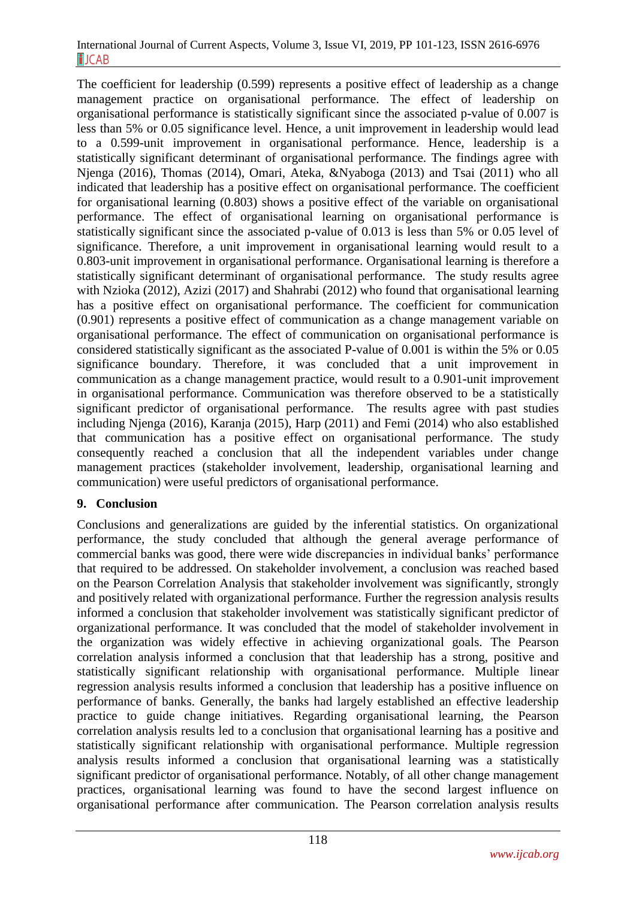The coefficient for leadership (0.599) represents a positive effect of leadership as a change management practice on organisational performance. The effect of leadership on organisational performance is statistically significant since the associated p-value of 0.007 is less than 5% or 0.05 significance level. Hence, a unit improvement in leadership would lead to a 0.599-unit improvement in organisational performance. Hence, leadership is a statistically significant determinant of organisational performance. The findings agree with Njenga (2016), Thomas (2014), Omari, Ateka, &Nyaboga (2013) and Tsai (2011) who all indicated that leadership has a positive effect on organisational performance. The coefficient for organisational learning (0.803) shows a positive effect of the variable on organisational performance. The effect of organisational learning on organisational performance is statistically significant since the associated p-value of 0.013 is less than 5% or 0.05 level of significance. Therefore, a unit improvement in organisational learning would result to a 0.803-unit improvement in organisational performance. Organisational learning is therefore a statistically significant determinant of organisational performance. The study results agree with Nzioka (2012), Azizi (2017) and Shahrabi (2012) who found that organisational learning has a positive effect on organisational performance. The coefficient for communication (0.901) represents a positive effect of communication as a change management variable on organisational performance. The effect of communication on organisational performance is considered statistically significant as the associated P-value of 0.001 is within the 5% or 0.05 significance boundary. Therefore, it was concluded that a unit improvement in communication as a change management practice, would result to a 0.901-unit improvement in organisational performance. Communication was therefore observed to be a statistically significant predictor of organisational performance. The results agree with past studies including Njenga (2016), Karanja (2015), Harp (2011) and Femi (2014) who also established that communication has a positive effect on organisational performance. The study consequently reached a conclusion that all the independent variables under change management practices (stakeholder involvement, leadership, organisational learning and communication) were useful predictors of organisational performance.

## **9. Conclusion**

Conclusions and generalizations are guided by the inferential statistics. On organizational performance, the study concluded that although the general average performance of commercial banks was good, there were wide discrepancies in individual banks' performance that required to be addressed. On stakeholder involvement, a conclusion was reached based on the Pearson Correlation Analysis that stakeholder involvement was significantly, strongly and positively related with organizational performance. Further the regression analysis results informed a conclusion that stakeholder involvement was statistically significant predictor of organizational performance. It was concluded that the model of stakeholder involvement in the organization was widely effective in achieving organizational goals. The Pearson correlation analysis informed a conclusion that that leadership has a strong, positive and statistically significant relationship with organisational performance. Multiple linear regression analysis results informed a conclusion that leadership has a positive influence on performance of banks. Generally, the banks had largely established an effective leadership practice to guide change initiatives. Regarding organisational learning, the Pearson correlation analysis results led to a conclusion that organisational learning has a positive and statistically significant relationship with organisational performance. Multiple regression analysis results informed a conclusion that organisational learning was a statistically significant predictor of organisational performance. Notably, of all other change management practices, organisational learning was found to have the second largest influence on organisational performance after communication. The Pearson correlation analysis results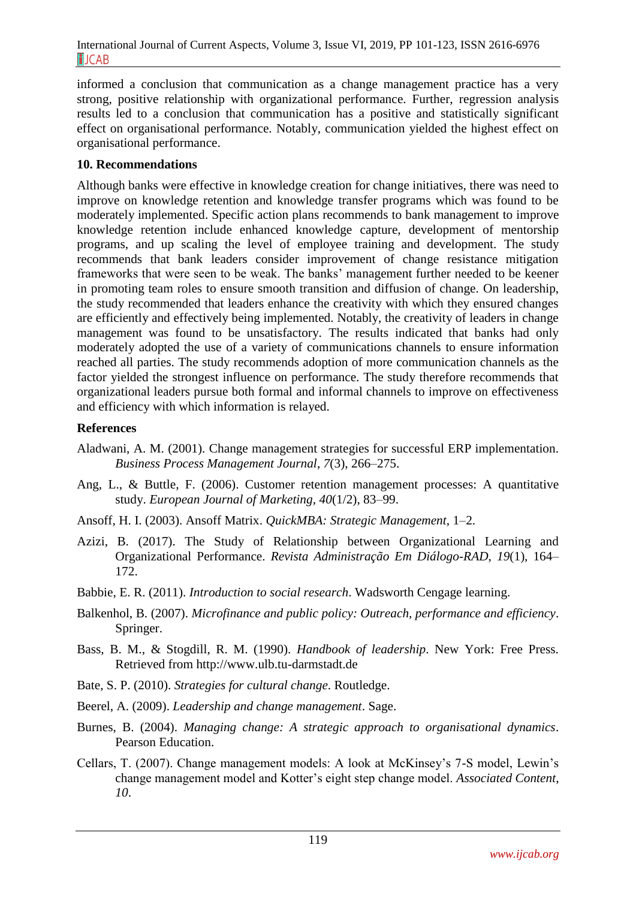informed a conclusion that communication as a change management practice has a very strong, positive relationship with organizational performance. Further, regression analysis results led to a conclusion that communication has a positive and statistically significant effect on organisational performance. Notably, communication yielded the highest effect on organisational performance.

## **10. Recommendations**

Although banks were effective in knowledge creation for change initiatives, there was need to improve on knowledge retention and knowledge transfer programs which was found to be moderately implemented. Specific action plans recommends to bank management to improve knowledge retention include enhanced knowledge capture, development of mentorship programs, and up scaling the level of employee training and development. The study recommends that bank leaders consider improvement of change resistance mitigation frameworks that were seen to be weak. The banks' management further needed to be keener in promoting team roles to ensure smooth transition and diffusion of change. On leadership, the study recommended that leaders enhance the creativity with which they ensured changes are efficiently and effectively being implemented. Notably, the creativity of leaders in change management was found to be unsatisfactory. The results indicated that banks had only moderately adopted the use of a variety of communications channels to ensure information reached all parties. The study recommends adoption of more communication channels as the factor yielded the strongest influence on performance. The study therefore recommends that organizational leaders pursue both formal and informal channels to improve on effectiveness and efficiency with which information is relayed.

### **References**

- Aladwani, A. M. (2001). Change management strategies for successful ERP implementation. *Business Process Management Journal*, *7*(3), 266–275.
- Ang, L., & Buttle, F. (2006). Customer retention management processes: A quantitative study. *European Journal of Marketing*, *40*(1/2), 83–99.
- Ansoff, H. I. (2003). Ansoff Matrix. *QuickMBA: Strategic Management*, 1–2.
- Azizi, B. (2017). The Study of Relationship between Organizational Learning and Organizational Performance. *Revista Administração Em Diálogo-RAD*, *19*(1), 164– 172.
- Babbie, E. R. (2011). *Introduction to social research*. Wadsworth Cengage learning.
- Balkenhol, B. (2007). *Microfinance and public policy: Outreach, performance and efficiency*. Springer.
- Bass, B. M., & Stogdill, R. M. (1990). *Handbook of leadership*. New York: Free Press. Retrieved from http://www.ulb.tu-darmstadt.de
- Bate, S. P. (2010). *Strategies for cultural change*. Routledge.
- Beerel, A. (2009). *Leadership and change management*. Sage.
- Burnes, B. (2004). *Managing change: A strategic approach to organisational dynamics*. Pearson Education.
- Cellars, T. (2007). Change management models: A look at McKinsey's 7-S model, Lewin's change management model and Kotter's eight step change model. *Associated Content*, *10*.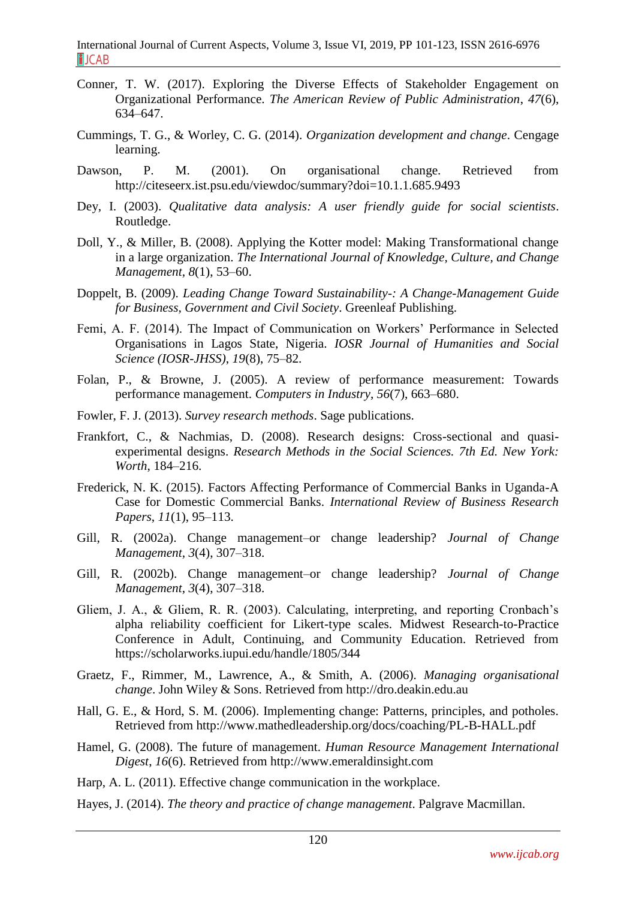- Conner, T. W. (2017). Exploring the Diverse Effects of Stakeholder Engagement on Organizational Performance. *The American Review of Public Administration*, *47*(6), 634–647.
- Cummings, T. G., & Worley, C. G. (2014). *Organization development and change*. Cengage learning.
- Dawson, P. M. (2001). On organisational change. Retrieved from http://citeseerx.ist.psu.edu/viewdoc/summary?doi=10.1.1.685.9493
- Dey, I. (2003). *Qualitative data analysis: A user friendly guide for social scientists*. Routledge.
- Doll, Y., & Miller, B. (2008). Applying the Kotter model: Making Transformational change in a large organization. *The International Journal of Knowledge, Culture, and Change Management*, *8*(1), 53–60.
- Doppelt, B. (2009). *Leading Change Toward Sustainability-: A Change-Management Guide for Business, Government and Civil Society*. Greenleaf Publishing.
- Femi, A. F. (2014). The Impact of Communication on Workers' Performance in Selected Organisations in Lagos State, Nigeria. *IOSR Journal of Humanities and Social Science (IOSR-JHSS)*, *19*(8), 75–82.
- Folan, P., & Browne, J. (2005). A review of performance measurement: Towards performance management. *Computers in Industry*, *56*(7), 663–680.
- Fowler, F. J. (2013). *Survey research methods*. Sage publications.
- Frankfort, C., & Nachmias, D. (2008). Research designs: Cross-sectional and quasiexperimental designs. *Research Methods in the Social Sciences. 7th Ed. New York: Worth*, 184–216.
- Frederick, N. K. (2015). Factors Affecting Performance of Commercial Banks in Uganda-A Case for Domestic Commercial Banks. *International Review of Business Research Papers*, *11*(1), 95–113.
- Gill, R. (2002a). Change management–or change leadership? *Journal of Change Management*, *3*(4), 307–318.
- Gill, R. (2002b). Change management–or change leadership? *Journal of Change Management*, *3*(4), 307–318.
- Gliem, J. A., & Gliem, R. R. (2003). Calculating, interpreting, and reporting Cronbach's alpha reliability coefficient for Likert-type scales. Midwest Research-to-Practice Conference in Adult, Continuing, and Community Education. Retrieved from https://scholarworks.iupui.edu/handle/1805/344
- Graetz, F., Rimmer, M., Lawrence, A., & Smith, A. (2006). *Managing organisational change*. John Wiley & Sons. Retrieved from http://dro.deakin.edu.au
- Hall, G. E., & Hord, S. M. (2006). Implementing change: Patterns, principles, and potholes. Retrieved from http://www.mathedleadership.org/docs/coaching/PL-B-HALL.pdf
- Hamel, G. (2008). The future of management. *Human Resource Management International Digest*, *16*(6). Retrieved from http://www.emeraldinsight.com
- Harp, A. L. (2011). Effective change communication in the workplace.
- Hayes, J. (2014). *The theory and practice of change management*. Palgrave Macmillan.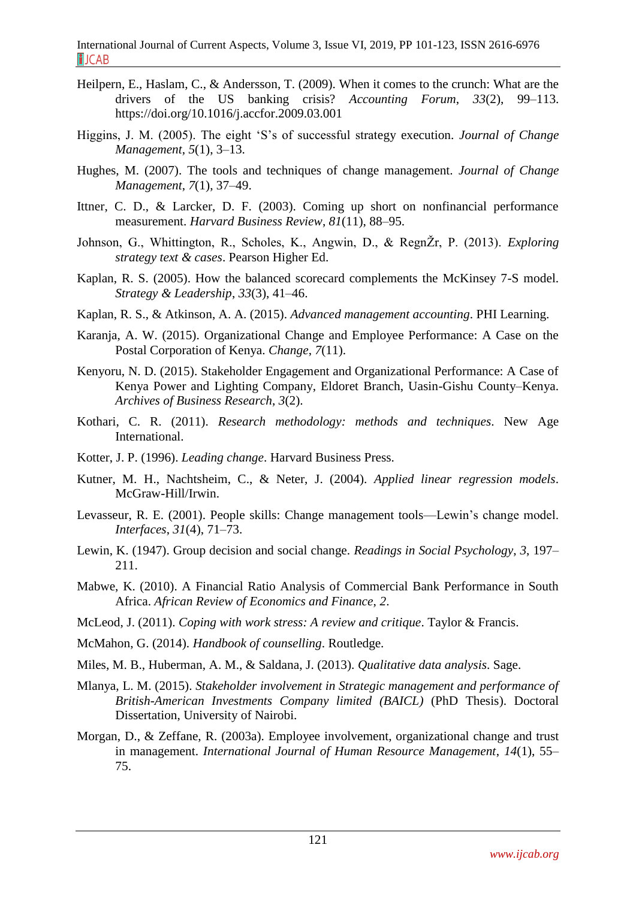- Heilpern, E., Haslam, C., & Andersson, T. (2009). When it comes to the crunch: What are the drivers of the US banking crisis? *Accounting Forum*, *33*(2), 99–113. https://doi.org/10.1016/j.accfor.2009.03.001
- Higgins, J. M. (2005). The eight 'S's of successful strategy execution. *Journal of Change Management*, *5*(1), 3–13.
- Hughes, M. (2007). The tools and techniques of change management. *Journal of Change Management*, *7*(1), 37–49.
- Ittner, C. D., & Larcker, D. F. (2003). Coming up short on nonfinancial performance measurement. *Harvard Business Review*, *81*(11), 88–95.
- Johnson, G., Whittington, R., Scholes, K., Angwin, D., & RegnŽr, P. (2013). *Exploring strategy text & cases*. Pearson Higher Ed.
- Kaplan, R. S. (2005). How the balanced scorecard complements the McKinsey 7-S model. *Strategy & Leadership*, *33*(3), 41–46.
- Kaplan, R. S., & Atkinson, A. A. (2015). *Advanced management accounting*. PHI Learning.
- Karanja, A. W. (2015). Organizational Change and Employee Performance: A Case on the Postal Corporation of Kenya. *Change*, *7*(11).
- Kenyoru, N. D. (2015). Stakeholder Engagement and Organizational Performance: A Case of Kenya Power and Lighting Company, Eldoret Branch, Uasin-Gishu County–Kenya. *Archives of Business Research*, *3*(2).
- Kothari, C. R. (2011). *Research methodology: methods and techniques*. New Age International.
- Kotter, J. P. (1996). *Leading change*. Harvard Business Press.
- Kutner, M. H., Nachtsheim, C., & Neter, J. (2004). *Applied linear regression models*. McGraw-Hill/Irwin.
- Levasseur, R. E. (2001). People skills: Change management tools—Lewin's change model. *Interfaces*, *31*(4), 71–73.
- Lewin, K. (1947). Group decision and social change. *Readings in Social Psychology*, *3*, 197– 211.
- Mabwe, K. (2010). A Financial Ratio Analysis of Commercial Bank Performance in South Africa. *African Review of Economics and Finance*, *2*.
- McLeod, J. (2011). *Coping with work stress: A review and critique*. Taylor & Francis.
- McMahon, G. (2014). *Handbook of counselling*. Routledge.
- Miles, M. B., Huberman, A. M., & Saldana, J. (2013). *Qualitative data analysis*. Sage.
- Mlanya, L. M. (2015). *Stakeholder involvement in Strategic management and performance of British-American Investments Company limited (BAICL)* (PhD Thesis). Doctoral Dissertation, University of Nairobi.
- Morgan, D., & Zeffane, R. (2003a). Employee involvement, organizational change and trust in management. *International Journal of Human Resource Management*, *14*(1), 55– 75.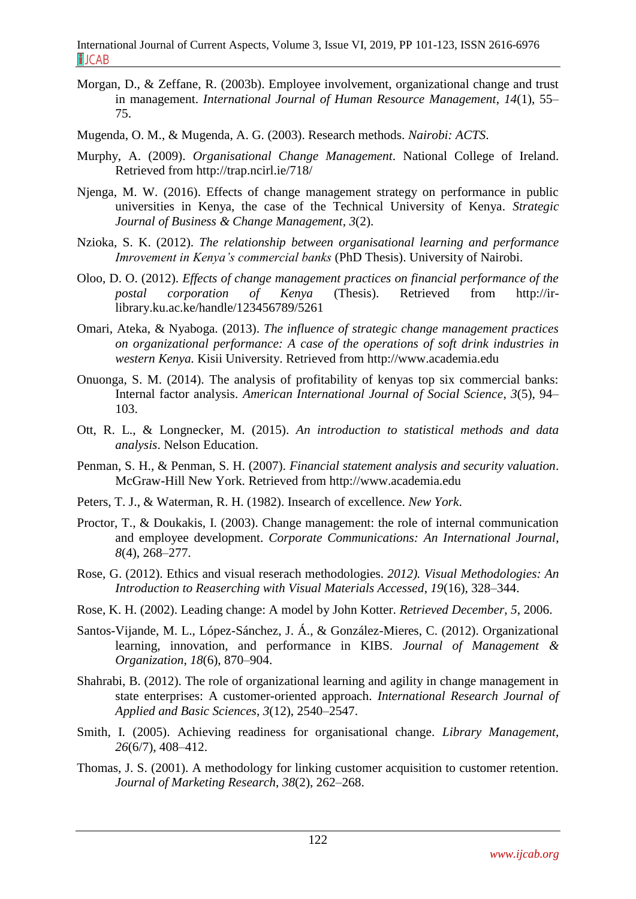- Morgan, D., & Zeffane, R. (2003b). Employee involvement, organizational change and trust in management. *International Journal of Human Resource Management*, *14*(1), 55– 75.
- Mugenda, O. M., & Mugenda, A. G. (2003). Research methods. *Nairobi: ACTS*.
- Murphy, A. (2009). *Organisational Change Management*. National College of Ireland. Retrieved from http://trap.ncirl.ie/718/
- Njenga, M. W. (2016). Effects of change management strategy on performance in public universities in Kenya, the case of the Technical University of Kenya. *Strategic Journal of Business & Change Management*, *3*(2).
- Nzioka, S. K. (2012). *The relationship between organisational learning and performance Imrovement in Kenya's commercial banks* (PhD Thesis). University of Nairobi.
- Oloo, D. O. (2012). *Effects of change management practices on financial performance of the postal corporation of Kenya* (Thesis). Retrieved from http://irlibrary.ku.ac.ke/handle/123456789/5261
- Omari, Ateka, & Nyaboga. (2013). *The influence of strategic change management practices on organizational performance: A case of the operations of soft drink industries in western Kenya.* Kisii University. Retrieved from http://www.academia.edu
- Onuonga, S. M. (2014). The analysis of profitability of kenyas top six commercial banks: Internal factor analysis. *American International Journal of Social Science*, *3*(5), 94– 103.
- Ott, R. L., & Longnecker, M. (2015). *An introduction to statistical methods and data analysis*. Nelson Education.
- Penman, S. H., & Penman, S. H. (2007). *Financial statement analysis and security valuation*. McGraw-Hill New York. Retrieved from http://www.academia.edu
- Peters, T. J., & Waterman, R. H. (1982). Insearch of excellence. *New York*.
- Proctor, T., & Doukakis, I. (2003). Change management: the role of internal communication and employee development. *Corporate Communications: An International Journal*, *8*(4), 268–277.
- Rose, G. (2012). Ethics and visual reserach methodologies. *2012). Visual Methodologies: An Introduction to Reaserching with Visual Materials Accessed*, *19*(16), 328–344.
- Rose, K. H. (2002). Leading change: A model by John Kotter. *Retrieved December*, *5*, 2006.
- Santos-Vijande, M. L., López-Sánchez, J. Á., & González-Mieres, C. (2012). Organizational learning, innovation, and performance in KIBS. *Journal of Management & Organization*, *18*(6), 870–904.
- Shahrabi, B. (2012). The role of organizational learning and agility in change management in state enterprises: A customer-oriented approach. *International Research Journal of Applied and Basic Sciences*, *3*(12), 2540–2547.
- Smith, I. (2005). Achieving readiness for organisational change. *Library Management*, *26*(6/7), 408–412.
- Thomas, J. S. (2001). A methodology for linking customer acquisition to customer retention. *Journal of Marketing Research*, *38*(2), 262–268.